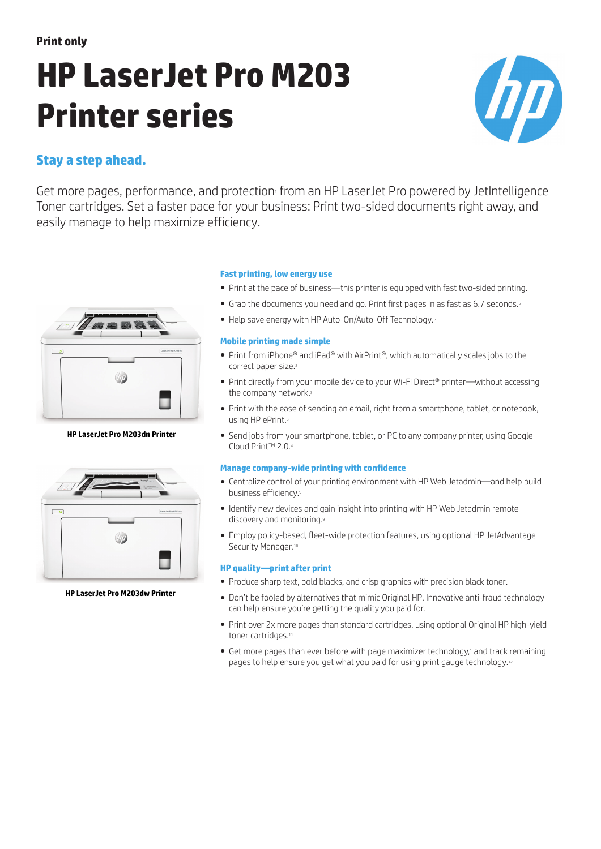# **HP LaserJet Pro M203 Printer series**



## **Stay a step ahead.**

Get more pages, performance, and protection from an HP LaserJet Pro powered by JetIntelligence Toner cartridges. Set a faster pace for your business: Print two-sided documents right away, and easily manage to help maximize efficiency.



**HP LaserJet Pro M203dn Printer**



**HP LaserJet Pro M203dw Printer**

#### **Fast printing, low energy use**

- Print at the pace of business—this printer is equipped with fast two-sided printing.
- Grab the documents you need and go. Print first pages in as fast as 6.7 seconds.<sup>5</sup>
- Help save energy with HP Auto-On/Auto-Off Technology.<sup>6</sup>

#### **Mobile printing made simple**

- Print from iPhone® and iPad® with AirPrint®, which automatically scales jobs to the correct paper size.<sup>2</sup>
- Print directly from your mobile device to your Wi-Fi Direct® printer—without accessing the company network.<sup>3</sup>
- Print with the ease of sending an email, right from a smartphone, tablet, or notebook, using HP ePrint.<sup>8</sup>
- Send jobs from your smartphone, tablet, or PC to any company printer, using Google Cloud Print™ 2.0.<sup>4</sup>

#### **Manage company-wide printing with confidence**

- Centralize control of your printing environment with HP Web Jetadmin—and help build business efficiency.<sup>9</sup>
- Identify new devices and gain insight into printing with HP Web Jetadmin remote discovery and monitoring.<sup>9</sup>
- Employ policy-based, fleet-wide protection features, using optional HP JetAdvantage Security Manager.<sup>10</sup>

#### **HP quality—print after print**

- Produce sharp text, bold blacks, and crisp graphics with precision black toner.
- Don't be fooled by alternatives that mimic Original HP. Innovative anti-fraud technology can help ensure you're getting the quality you paid for.
- Print over 2x more pages than standard cartridges, using optional Original HP high-yield toner cartridges.<sup>11</sup>
- Get more pages than ever before with page maximizer technology, and track remaining pages to help ensure you get what you paid for using print gauge technology.<sup>12</sup>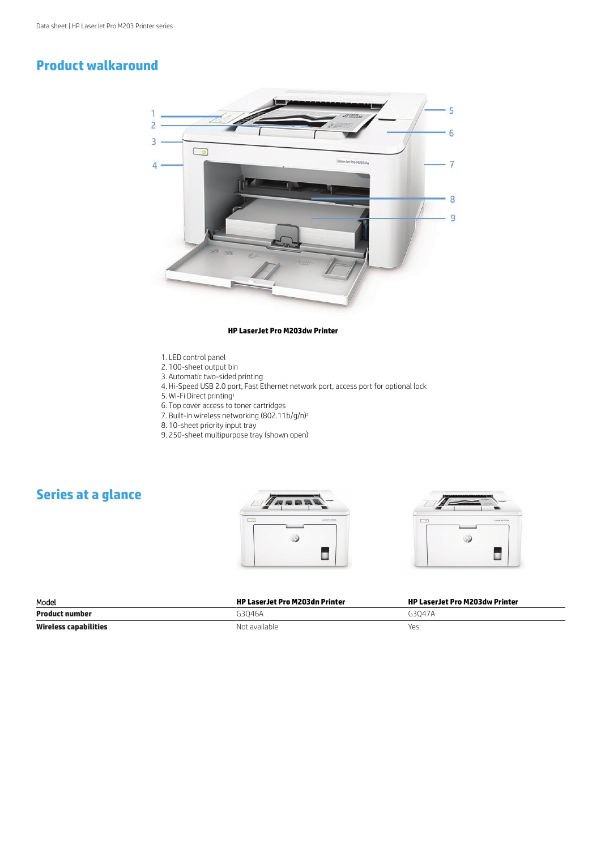# **Product walkaround**



#### **HP LaserJet Pro M203dw Printer**

- 1. LED control panel
- 2. 100-sheet output bin
- 3. Automatic two-sided printing
- 4. Hi-Speed USB 2.0 port, Fast Ethernet network port, access port for optional lock
	- 5. Wi-Fi Direct printing<sup>1</sup>
	- 6. Top cover access to toner cartridges
	- 7. Built-in wireless networking (802.11b/g/n)<sup>2</sup>
	- 8. 10-sheet priority input tray
	- 9. 250-sheet multipurpose tray (shown open)

# **Series at a glance**





| Model                        | <b>HP LaserJet Pro M203dn Printer</b> | HP LaserJet Pro M203dw Printer |
|------------------------------|---------------------------------------|--------------------------------|
| <b>Product number</b>        | G3046A                                | G3047A                         |
| <b>Wireless capabilities</b> | Not available                         | Yes                            |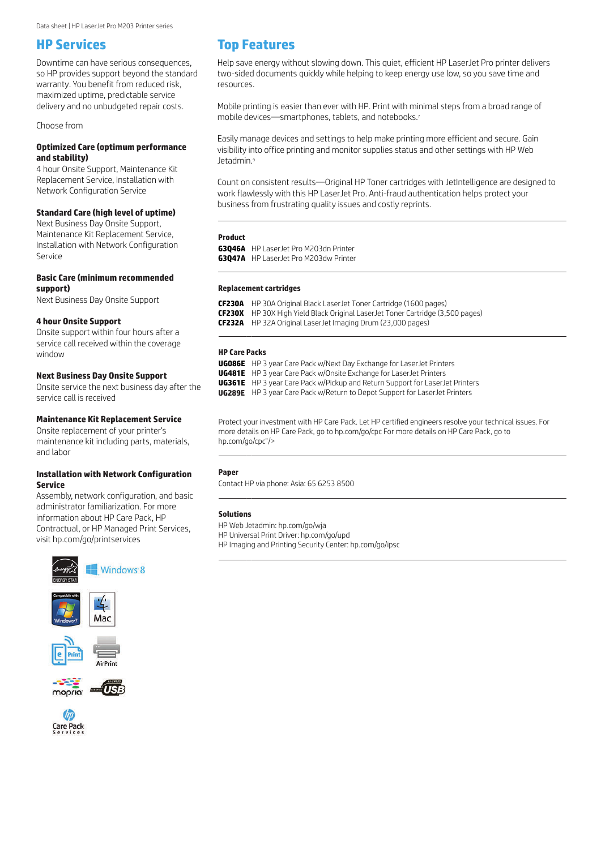## **HP Services**

Downtime can have serious consequences, so HP provides support beyond the standard warranty. You benefit from reduced risk, maximized uptime, predictable service delivery and no unbudgeted repair costs.

Choose from

#### **Optimized Care (optimum performance and stability)**

4 hour Onsite Support, Maintenance Kit Replacement Service, Installation with Network Configuration Service

#### **Standard Care (high level of uptime)**

Next Business Day Onsite Support, Maintenance Kit Replacement Service, Installation with Network Configuration Service

#### **Basic Care (minimum recommended support)**

Next Business Day Onsite Support

#### **4 hour Onsite Support**

Onsite support within four hours after a service call received within the coverage window

#### **Next Business Day Onsite Support**

Onsite service the next business day after the service call is received

#### **Maintenance Kit Replacement Service**

Onsite replacement of your printer's maintenance kit including parts, materials, and labor

#### **Installation with Network Configuration Service**

Assembly, network configuration, and basic administrator familiarization. For more information about HP Care Pack, HP Contractual, or HP Managed Print Services, visit [hp.com/go/printservices](http://hp.com/go/printservices)











## **Top Features**

Help save energy without slowing down. This quiet, efficient HP LaserJet Pro printer delivers two-sided documents quickly while helping to keep energy use low, so you save time and resources.

Mobile printing is easier than ever with HP. Print with minimal steps from a broad range of mobile devices—smartphones, tablets, and notebooks.<sup>7</sup>

Easily manage devices and settings to help make printing more efficient and secure. Gain visibility into office printing and monitor supplies status and other settings with HP Web Jetadmin.<sup>9</sup>

Count on consistent results—Original HP Toner cartridges with JetIntelligence are designed to work flawlessly with this HP LaserJet Pro. Anti-fraud authentication helps protect your business from frustrating quality issues and costly reprints.

#### **Product**

**G3Q46A** HP LaserJet Pro M203dn Printer **G3Q47A** HP LaserJet Pro M203dw Printer

## **Replacement cartridges** \_

 $\overline{a}$ 

**CF230A** HP 30A Original Black LaserJet Toner Cartridge (1600 pages) **CF230X** HP 30X High Yield Black Original LaserJet Toner Cartridge (3,500 pages) **CF232A** HP 32A Original LaserJet Imaging Drum (23,000 pages)

#### **HP Care Packs**

**UG086E** HP 3 year Care Pack w/Next Day Exchange for LaserJet Printers **UG481E** HP 3 year Care Pack w/Onsite Exchange for LaserJet Printers **UG361E** HP 3 year Care Pack w/Pickup and Return Support for LaserJet Printers HP 3 year Care Pack w/Return to Depot Support for LaserJet Printers **UG289E**

Protect your investment with HP Care Pack. Let HP certified engineers resolve your technical issues. For more details on HP Care Pack, go to hp.com/go/cpc For more details on HP Care Pack, go to hp.com/go/cpc"/>

#### **Paper**

 $\mathcal{L}(\mathcal{L})$ 

 $\mathcal{L}(\mathcal{L})$ 

Contact HP via phone: Asia: 65 6253 8500

#### **Solutions**

HP Web Jetadmin: hp.com/go/wja

HP Universal Print Driver: hp.com/go/upd

HP Imaging and Printing Security Center: hp.com/go/ipsc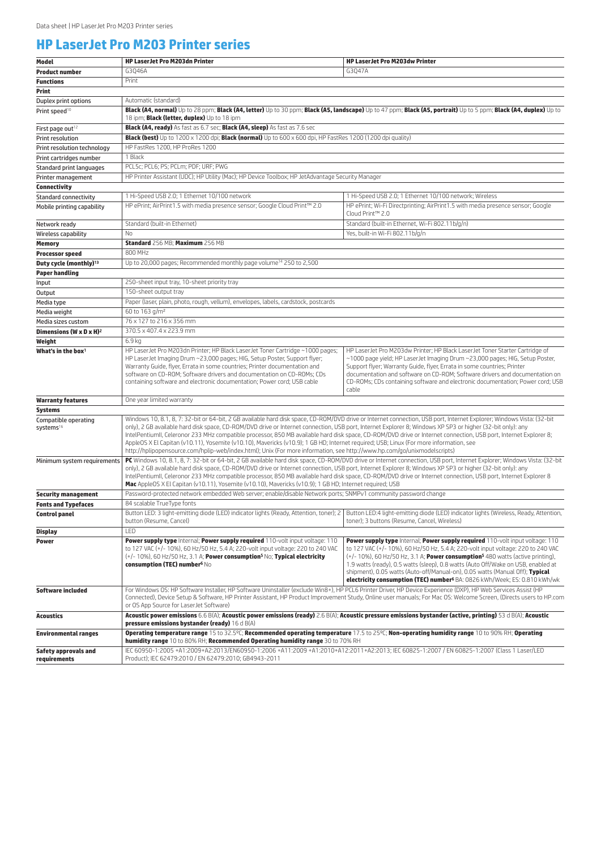## **HP LaserJet Pro M203 Printer series**

| Model                                         | <b>HP LaserJet Pro M203dn Printer</b>                                                                                                                                                                                                                                                                                                                                                                                                                                                                                                                                                                                                                                                                                                                                          | <b>HP LaserJet Pro M203dw Printer</b>                                                                                                                                                                                                                                                                                                                                                                                                                                                                                               |  |
|-----------------------------------------------|--------------------------------------------------------------------------------------------------------------------------------------------------------------------------------------------------------------------------------------------------------------------------------------------------------------------------------------------------------------------------------------------------------------------------------------------------------------------------------------------------------------------------------------------------------------------------------------------------------------------------------------------------------------------------------------------------------------------------------------------------------------------------------|-------------------------------------------------------------------------------------------------------------------------------------------------------------------------------------------------------------------------------------------------------------------------------------------------------------------------------------------------------------------------------------------------------------------------------------------------------------------------------------------------------------------------------------|--|
| <b>Product number</b>                         | G3046A                                                                                                                                                                                                                                                                                                                                                                                                                                                                                                                                                                                                                                                                                                                                                                         | G3Q47A                                                                                                                                                                                                                                                                                                                                                                                                                                                                                                                              |  |
| <b>Functions</b>                              | Print                                                                                                                                                                                                                                                                                                                                                                                                                                                                                                                                                                                                                                                                                                                                                                          |                                                                                                                                                                                                                                                                                                                                                                                                                                                                                                                                     |  |
| Print                                         |                                                                                                                                                                                                                                                                                                                                                                                                                                                                                                                                                                                                                                                                                                                                                                                |                                                                                                                                                                                                                                                                                                                                                                                                                                                                                                                                     |  |
| Duplex print options                          | Automatic (standard)                                                                                                                                                                                                                                                                                                                                                                                                                                                                                                                                                                                                                                                                                                                                                           |                                                                                                                                                                                                                                                                                                                                                                                                                                                                                                                                     |  |
| Print speed <sup>10</sup>                     | Black (A4, normal) Up to 28 ppm; Black (A4, letter) Up to 30 ppm; Black (A5, landscape) Up to 47 ppm; Black (A5, portrait) Up to 5 ppm; Black (A4, duplex) Up to<br>18 ipm; <b>Black (letter, duplex)</b> Up to 18 ipm                                                                                                                                                                                                                                                                                                                                                                                                                                                                                                                                                         |                                                                                                                                                                                                                                                                                                                                                                                                                                                                                                                                     |  |
| First page out <sup>12</sup>                  | Black (A4, ready) As fast as 6.7 sec; Black (A4, sleep) As fast as 7.6 sec                                                                                                                                                                                                                                                                                                                                                                                                                                                                                                                                                                                                                                                                                                     |                                                                                                                                                                                                                                                                                                                                                                                                                                                                                                                                     |  |
| Print resolution                              | <b>Black (best)</b> Up to 1200 x 1200 dpi; <b>Black (normal)</b> Up to 600 x 600 dpi, HP FastRes 1200 (1200 dpi quality)                                                                                                                                                                                                                                                                                                                                                                                                                                                                                                                                                                                                                                                       |                                                                                                                                                                                                                                                                                                                                                                                                                                                                                                                                     |  |
| Print resolution technology                   | HP FastRes 1200, HP ProRes 1200                                                                                                                                                                                                                                                                                                                                                                                                                                                                                                                                                                                                                                                                                                                                                |                                                                                                                                                                                                                                                                                                                                                                                                                                                                                                                                     |  |
| Print cartridges number                       | 1 Black                                                                                                                                                                                                                                                                                                                                                                                                                                                                                                                                                                                                                                                                                                                                                                        |                                                                                                                                                                                                                                                                                                                                                                                                                                                                                                                                     |  |
| Standard print languages                      | PCL5c; PCL6; PS; PCLm; PDF; URF; PWG                                                                                                                                                                                                                                                                                                                                                                                                                                                                                                                                                                                                                                                                                                                                           |                                                                                                                                                                                                                                                                                                                                                                                                                                                                                                                                     |  |
| Printer management                            | HP Printer Assistant (UDC); HP Utility (Mac); HP Device Toolbox; HP JetAdvantage Security Manager                                                                                                                                                                                                                                                                                                                                                                                                                                                                                                                                                                                                                                                                              |                                                                                                                                                                                                                                                                                                                                                                                                                                                                                                                                     |  |
| Connectivity                                  |                                                                                                                                                                                                                                                                                                                                                                                                                                                                                                                                                                                                                                                                                                                                                                                |                                                                                                                                                                                                                                                                                                                                                                                                                                                                                                                                     |  |
| <b>Standard connectivity</b>                  | 1 Hi-Speed USB 2.0; 1 Ethernet 10/100 network                                                                                                                                                                                                                                                                                                                                                                                                                                                                                                                                                                                                                                                                                                                                  | 1 Hi-Speed USB 2.0; 1 Ethernet 10/100 network; Wireless                                                                                                                                                                                                                                                                                                                                                                                                                                                                             |  |
| Mobile printing capability                    | HP ePrint; AirPrint1.5 with media presence sensor; Google Cloud Print™ 2.0                                                                                                                                                                                                                                                                                                                                                                                                                                                                                                                                                                                                                                                                                                     | HP ePrint; Wi-Fi Directprinting; AirPrint1.5 with media presence sensor; Google<br>Cloud Print™ 2.0                                                                                                                                                                                                                                                                                                                                                                                                                                 |  |
| Network ready                                 | Standard (built-in Ethernet)                                                                                                                                                                                                                                                                                                                                                                                                                                                                                                                                                                                                                                                                                                                                                   | Standard (built-in Ethernet, Wi-Fi 802.11b/g/n)                                                                                                                                                                                                                                                                                                                                                                                                                                                                                     |  |
| Wireless capability                           | <b>No</b>                                                                                                                                                                                                                                                                                                                                                                                                                                                                                                                                                                                                                                                                                                                                                                      | Yes, built-in Wi-Fi 802.11b/g/n                                                                                                                                                                                                                                                                                                                                                                                                                                                                                                     |  |
| <b>Memory</b>                                 | Standard 256 MB; Maximum 256 MB                                                                                                                                                                                                                                                                                                                                                                                                                                                                                                                                                                                                                                                                                                                                                |                                                                                                                                                                                                                                                                                                                                                                                                                                                                                                                                     |  |
| <b>Processor speed</b>                        | 800 MHz                                                                                                                                                                                                                                                                                                                                                                                                                                                                                                                                                                                                                                                                                                                                                                        |                                                                                                                                                                                                                                                                                                                                                                                                                                                                                                                                     |  |
| Duty cycle (monthly) <sup>13</sup>            | Up to 20,000 pages; Recommended monthly page volume <sup>14</sup> 250 to 2,500                                                                                                                                                                                                                                                                                                                                                                                                                                                                                                                                                                                                                                                                                                 |                                                                                                                                                                                                                                                                                                                                                                                                                                                                                                                                     |  |
| <b>Paper handling</b>                         |                                                                                                                                                                                                                                                                                                                                                                                                                                                                                                                                                                                                                                                                                                                                                                                |                                                                                                                                                                                                                                                                                                                                                                                                                                                                                                                                     |  |
| Input                                         | 250-sheet input tray, 10-sheet priority tray                                                                                                                                                                                                                                                                                                                                                                                                                                                                                                                                                                                                                                                                                                                                   |                                                                                                                                                                                                                                                                                                                                                                                                                                                                                                                                     |  |
| Output                                        | 150-sheet output trav                                                                                                                                                                                                                                                                                                                                                                                                                                                                                                                                                                                                                                                                                                                                                          |                                                                                                                                                                                                                                                                                                                                                                                                                                                                                                                                     |  |
| Media type                                    | Paper (laser, plain, photo, rough, vellum), envelopes, labels, cardstock, postcards                                                                                                                                                                                                                                                                                                                                                                                                                                                                                                                                                                                                                                                                                            |                                                                                                                                                                                                                                                                                                                                                                                                                                                                                                                                     |  |
| Media weight                                  | 60 to 163 g/m <sup>2</sup>                                                                                                                                                                                                                                                                                                                                                                                                                                                                                                                                                                                                                                                                                                                                                     |                                                                                                                                                                                                                                                                                                                                                                                                                                                                                                                                     |  |
| Media sizes custom                            | 76 x 127 to 216 x 356 mm                                                                                                                                                                                                                                                                                                                                                                                                                                                                                                                                                                                                                                                                                                                                                       |                                                                                                                                                                                                                                                                                                                                                                                                                                                                                                                                     |  |
| Dimensions (W x D x H) <sup>2</sup>           | 370.5 x 407.4 x 223.9 mm                                                                                                                                                                                                                                                                                                                                                                                                                                                                                                                                                                                                                                                                                                                                                       |                                                                                                                                                                                                                                                                                                                                                                                                                                                                                                                                     |  |
| Weight                                        | 6.9 <sub>kq</sub>                                                                                                                                                                                                                                                                                                                                                                                                                                                                                                                                                                                                                                                                                                                                                              |                                                                                                                                                                                                                                                                                                                                                                                                                                                                                                                                     |  |
| What's in the box $1$                         | HP LaserJet Pro M203dn Printer; HP Black LaserJet Toner Cartridge ~1000 pages;<br>HP Laser Jet Imaging Drum ~23,000 pages; HIG, Setup Poster, Support flyer;<br>Warranty Guide, flyer, Errata in some countries; Printer documentation and<br>software on CD-ROM; Software drivers and documentation on CD-ROMs; CDs<br>containing software and electronic documentation; Power cord; USB cable                                                                                                                                                                                                                                                                                                                                                                                | HP LaserJet Pro M203dw Printer; HP Black LaserJet Toner Starter Cartridge of<br>~1000 page yield; HP LaserJet Imaging Drum ~23,000 pages; HIG, Setup Poster,<br>Support flyer; Warranty Guide, flyer, Errata in some countries; Printer<br>documentation and software on CD-ROM; Software drivers and documentation on<br>CD-ROMs; CDs containing software and electronic documentation; Power cord; USB<br>cable                                                                                                                   |  |
| <b>Warranty features</b>                      | One year limited warranty                                                                                                                                                                                                                                                                                                                                                                                                                                                                                                                                                                                                                                                                                                                                                      |                                                                                                                                                                                                                                                                                                                                                                                                                                                                                                                                     |  |
| Systems                                       |                                                                                                                                                                                                                                                                                                                                                                                                                                                                                                                                                                                                                                                                                                                                                                                |                                                                                                                                                                                                                                                                                                                                                                                                                                                                                                                                     |  |
| Compatible operating<br>systems <sup>16</sup> | Windows 10, 8.1, 8, 7: 32-bit or 64-bit, 2 GB available hard disk space, CD-ROM/DVD drive or Internet connection, USB port, Internet Explorer; Windows Vista: (32-bit<br>only), 2 GB available hard disk space, CD-ROM/DVD drive or Internet connection, USB port, Internet Explorer 8; Windows XP SP3 or higher (32-bit only): any<br>IntelPentiumII, Celeronor 233 MHz compatible processor, 850 MB available hard disk space, CD-ROM/DVD drive or Internet connection, USB port, Internet Explorer 8;<br>AppleOS X El Capitan (v10.11), Yosemite (v10.10), Mavericks (v10.9); 1 GB HD; Internet required; USB; Linux (For more information, see<br>http://hplipopensource.com/hplip-web/index.html); Unix (For more information, see http://www.hp.com/qo/unixmodelscripts) |                                                                                                                                                                                                                                                                                                                                                                                                                                                                                                                                     |  |
| Minimum system requirements                   | PC Windows 10, 8.1, 8, 7: 32-bit or 64-bit, 2 GB available hard disk space, CD-ROM/DVD drive or Internet connection, USB port, Internet Explorer; Windows Vista: (32-bit<br>only), 2 GB available hard disk space, CD-ROM/DVD drive or Internet connection, USB port, Internet Explorer 8; Windows XP SP3 or higher (32-bit only): any<br>IntelPentiumII, Celeronor 233 MHz compatible processor, 850 MB available hard disk space, CD-ROM/DVD drive or Internet connection, USB port, Internet Explorer 8<br>Mac AppleOS X El Capitan (v10.11), Yosemite (v10.10), Mavericks (v10.9); 1 GB HD; Internet required; USB                                                                                                                                                         |                                                                                                                                                                                                                                                                                                                                                                                                                                                                                                                                     |  |
| <b>Security management</b>                    | Password-protected network embedded Web server; enable/disable Network ports; SNMPv1 community password change                                                                                                                                                                                                                                                                                                                                                                                                                                                                                                                                                                                                                                                                 |                                                                                                                                                                                                                                                                                                                                                                                                                                                                                                                                     |  |
| <b>Fonts and Typefaces</b>                    | 84 scalable TrueType fonts                                                                                                                                                                                                                                                                                                                                                                                                                                                                                                                                                                                                                                                                                                                                                     |                                                                                                                                                                                                                                                                                                                                                                                                                                                                                                                                     |  |
| <b>Control panel</b>                          | Button LED: 3 light-emitting diode (LED) indicator lights (Ready, Attention, toner); 2<br>button (Resume, Cancel)                                                                                                                                                                                                                                                                                                                                                                                                                                                                                                                                                                                                                                                              | Button LED:4 light-emitting diode (LED) indicator lights (Wireless, Ready, Attention,<br>toner): 3 buttons (Resume, Cancel, Wireless)                                                                                                                                                                                                                                                                                                                                                                                               |  |
| <b>Display</b>                                | LED                                                                                                                                                                                                                                                                                                                                                                                                                                                                                                                                                                                                                                                                                                                                                                            |                                                                                                                                                                                                                                                                                                                                                                                                                                                                                                                                     |  |
| <b>Power</b>                                  | Power supply type Internal; Power supply required 110-volt input voltage: 110<br>to 127 VAC (+/- 10%), 60 Hz/50 Hz, 5.4 A; 220-volt input voltage: 220 to 240 VAC<br>$(+/- 10%)$ , 60 Hz/50 Hz, 3.1 A; Power consumption <sup>5</sup> No; Typical electricity<br>consumption (TEC) number <sup>6</sup> No                                                                                                                                                                                                                                                                                                                                                                                                                                                                      | Power supply type Internal; Power supply required 110-volt input voltage: 110<br>to 127 VAC (+/- 10%), 60 Hz/50 Hz, 5.4 A; 220-volt input voltage: 220 to 240 VAC<br>(+/- 10%), 60 Hz/50 Hz, 3.1 A; Power consumption <sup>5</sup> 480 watts (active printing),<br>1.9 watts (ready), 0.5 watts (sleep), 0.8 watts (Auto Off/Wake on USB, enabled at<br>shipment), 0.05 watts (Auto-off/Manual-on), 0.05 watts (Manual Off); Typical<br><b>electricity consumption (TEC) number<sup>6</sup> BA: 0826 kWh/Week; ES: 0.810 kWh/wk</b> |  |
| Software included                             | For Windows OS: HP Software Installer, HP Software Uninstaller (exclude Win8+), HP PCL6 Printer Driver, HP Device Experience (DXP), HP Web Services Assist (HP<br>Connected), Device Setup & Software, HP Printer Assistant, HP Product Improvement Study, Online user manuals; For Mac OS: Welcome Screen, (Directs users to HP.com<br>or OS App Source for LaserJet Software)                                                                                                                                                                                                                                                                                                                                                                                                |                                                                                                                                                                                                                                                                                                                                                                                                                                                                                                                                     |  |
| <b>Acoustics</b>                              | Acoustic power emissions 6.6 B(A); Acoustic power emissions (ready) 2.6 B(A); Acoustic pressure emissions bystander (active, printing) 53 d B(A); Acoustic<br>pressure emissions bystander (ready) 16 d B(A)                                                                                                                                                                                                                                                                                                                                                                                                                                                                                                                                                                   |                                                                                                                                                                                                                                                                                                                                                                                                                                                                                                                                     |  |
| <b>Environmental ranges</b>                   | Operating temperature range 15 to 32.5°C; Recommended operating temperature 17.5 to 25°C; Non-operating humidity range 10 to 90% RH; Operating<br>humidity range 10 to 80% RH; Recommended Operating humidity range 30 to 70% RH                                                                                                                                                                                                                                                                                                                                                                                                                                                                                                                                               |                                                                                                                                                                                                                                                                                                                                                                                                                                                                                                                                     |  |
| Safety approvals and<br>requirements          | IEC 60950-1:2005 +A1:2009+A2:2013/EN60950-1:2006 +A11:2009 +A1:2010+A12:2011+A2:2013; IEC 60825-1:2007 / EN 60825-1:2007 (Class 1 Laser/LED<br>Product); IEC 62479:2010 / EN 62479:2010; GB4943-2011                                                                                                                                                                                                                                                                                                                                                                                                                                                                                                                                                                           |                                                                                                                                                                                                                                                                                                                                                                                                                                                                                                                                     |  |